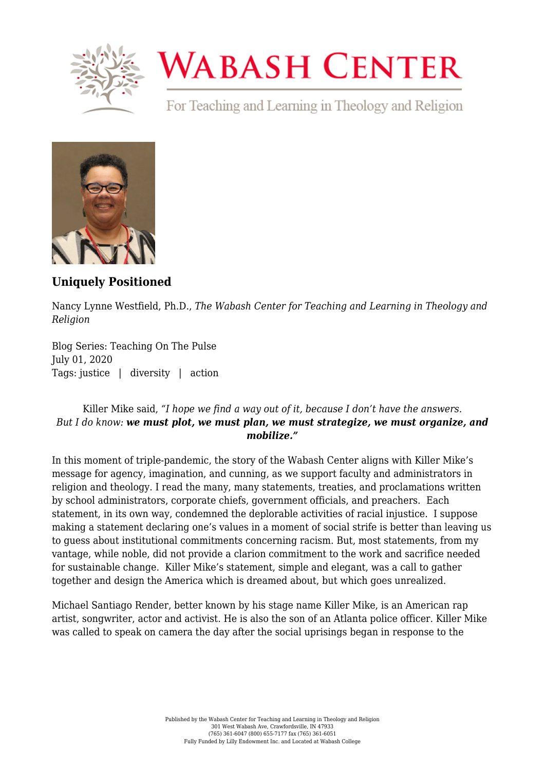

## **WABASH CENTER**

For Teaching and Learning in Theology and Religion



**[Uniquely Positioned](https://www.wabashcenter.wabash.edu/2020/07/uniquely-positioned/)**

Nancy Lynne Westfield, Ph.D., *The Wabash Center for Teaching and Learning in Theology and Religion*

Blog Series: Teaching On The Pulse July 01, 2020 Tags: justice | diversity | action

## Killer Mike said, *"I hope we find a way out of it, because I don't have the answers. But I do know: we must plot, we must plan, we must strategize, we must organize, and mobilize."*

In this moment of triple-pandemic, the story of the Wabash Center aligns with Killer Mike's message for agency, imagination, and cunning, as we support faculty and administrators in religion and theology. I read the many, many statements, treaties, and proclamations written by school administrators, corporate chiefs, government officials, and preachers. Each statement, in its own way, condemned the deplorable activities of racial injustice. I suppose making a statement declaring one's values in a moment of social strife is better than leaving us to guess about institutional commitments concerning racism. But, most statements, from my vantage, while noble, did not provide a clarion commitment to the work and sacrifice needed for sustainable change. Killer Mike's statement, simple and elegant, was a call to gather together and design the America which is dreamed about, but which goes unrealized.

Michael Santiago Render, better known by his stage name Killer Mike, is an American rap artist, songwriter, actor and activist. He is also the son of an Atlanta police officer. Killer Mike was called to speak on camera the day after the social uprisings began in response to the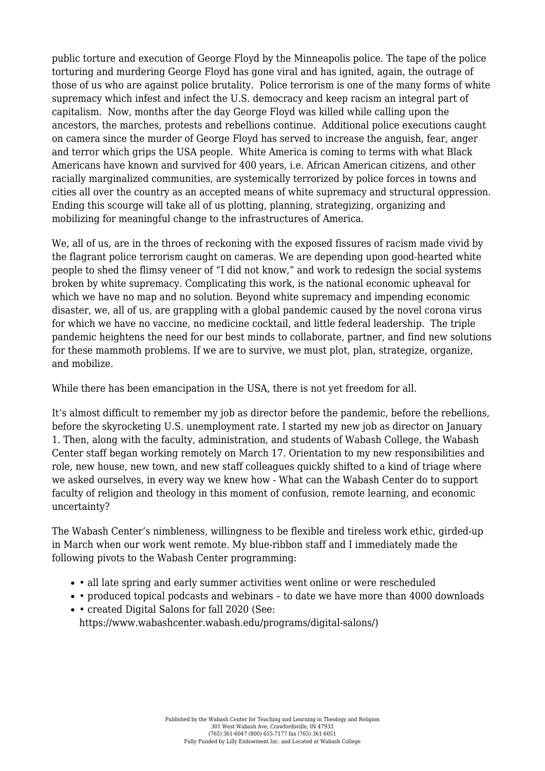public torture and execution of George Floyd by the Minneapolis police. The tape of the police torturing and murdering George Floyd has gone viral and has ignited, again, the outrage of those of us who are against police brutality. Police terrorism is one of the many forms of white supremacy which infest and infect the U.S. democracy and keep racism an integral part of capitalism. Now, months after the day George Floyd was killed while calling upon the ancestors, the marches, protests and rebellions continue. Additional police executions caught on camera since the murder of George Floyd has served to increase the anguish, fear, anger and terror which grips the USA people. White America is coming to terms with what Black Americans have known and survived for 400 years, i.e. African American citizens, and other racially marginalized communities, are systemically terrorized by police forces in towns and cities all over the country as an accepted means of white supremacy and structural oppression. Ending this scourge will take all of us plotting, planning, strategizing, organizing and mobilizing for meaningful change to the infrastructures of America.

We, all of us, are in the throes of reckoning with the exposed fissures of racism made vivid by the flagrant police terrorism caught on cameras. We are depending upon good-hearted white people to shed the flimsy veneer of "I did not know," and work to redesign the social systems broken by white supremacy. Complicating this work, is the national economic upheaval for which we have no map and no solution. Beyond white supremacy and impending economic disaster, we, all of us, are grappling with a global pandemic caused by the novel corona virus for which we have no vaccine, no medicine cocktail, and little federal leadership. The triple pandemic heightens the need for our best minds to collaborate, partner, and find new solutions for these mammoth problems. If we are to survive, we must plot, plan, strategize, organize, and mobilize.

While there has been emancipation in the USA, there is not yet freedom for all.

It's almost difficult to remember my job as director before the pandemic, before the rebellions, before the skyrocketing U.S. unemployment rate. I started my new job as director on January 1. Then, along with the faculty, administration, and students of Wabash College, the Wabash Center staff began working remotely on March 17. Orientation to my new responsibilities and role, new house, new town, and new staff colleagues quickly shifted to a kind of triage where we asked ourselves, in every way we knew how - What can the Wabash Center do to support faculty of religion and theology in this moment of confusion, remote learning, and economic uncertainty?

The Wabash Center's nimbleness, willingness to be flexible and tireless work ethic, girded-up in March when our work went remote. My blue-ribbon staff and I immediately made the following pivots to the Wabash Center programming:

- all late spring and early summer activities went online or were rescheduled
- produced topical podcasts and webinars to date we have more than 4000 downloads
- created Digital Salons for fall 2020 (See: [https://www.wabashcenter.wabash.edu/programs/digital-salons/\)](https://www.wabashcenter.wabash.edu/programs/digital-salons/)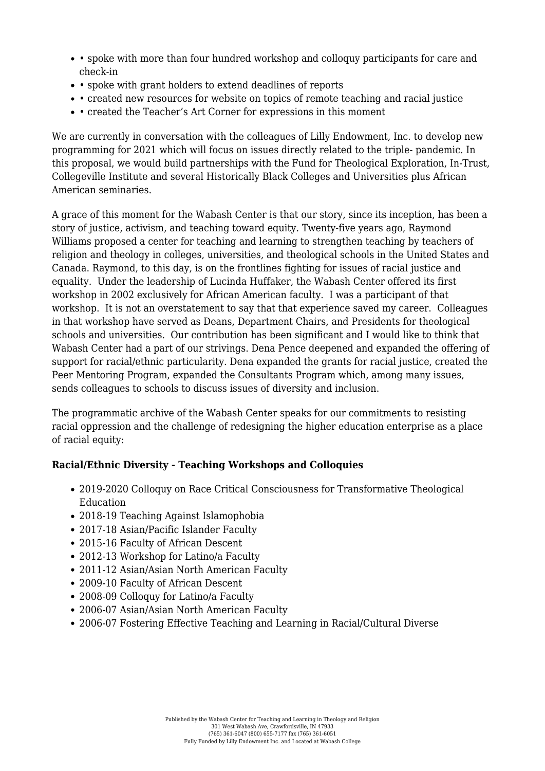- spoke with more than four hundred workshop and colloquy participants for care and check-in
- spoke with grant holders to extend deadlines of reports
- created new resources for website on topics of remote teaching and racial justice
- created the Teacher's Art Corner for expressions in this moment

We are currently in conversation with the colleagues of Lilly Endowment, Inc. to develop new programming for 2021 which will focus on issues directly related to the triple- pandemic. In this proposal, we would build partnerships with the Fund for Theological Exploration, In-Trust, Collegeville Institute and several Historically Black Colleges and Universities plus African American seminaries.

A grace of this moment for the Wabash Center is that our story, since its inception, has been a story of justice, activism, and teaching toward equity. Twenty-five years ago, Raymond Williams proposed a center for teaching and learning to strengthen teaching by teachers of religion and theology in colleges, universities, and theological schools in the United States and Canada. Raymond, to this day, is on the frontlines fighting for issues of racial justice and equality. Under the leadership of Lucinda Huffaker, the Wabash Center offered its first workshop in 2002 exclusively for African American faculty. I was a participant of that workshop. It is not an overstatement to say that that experience saved my career. Colleagues in that workshop have served as Deans, Department Chairs, and Presidents for theological schools and universities. Our contribution has been significant and I would like to think that Wabash Center had a part of our strivings. Dena Pence deepened and expanded the offering of support for racial/ethnic particularity. Dena expanded the grants for racial justice, created the Peer Mentoring Program, expanded the Consultants Program which, among many issues, sends colleagues to schools to discuss issues of diversity and inclusion.

The programmatic archive of the Wabash Center speaks for our commitments to resisting racial oppression and the challenge of redesigning the higher education enterprise as a place of racial equity:

## **Racial/Ethnic Diversity - Teaching Workshops and Colloquies**

- [2019-2020 Colloquy on Race Critical Consciousness for Transformative Theological](https://www.wabashcenter.wabash.edu/programs/workshops/2019-20-wabash-colloquy/) [Education](https://www.wabashcenter.wabash.edu/programs/workshops/2019-20-wabash-colloquy/)
- [2018-19 Teaching Against Islamophobia](https://www.wabashcenter.wabash.edu/programs/workshops/teaching-against-islamophobia/)
- [2017-18 Asian/Pacific Islander Faculty](https://www.wabashcenter.wabash.edu/programs/workshops/2017-18-early-career-workshop-2/)
- [2015-16 Faculty of African Descent](https://www.wabashcenter.wabash.edu/programs/workshops/2015-16-pre-tenure-religion-faculty-of-african-descent/)
- [2012-13 Workshop for Latino/a Faculty](https://www.wabashcenter.wabash.edu/programs/workshops/2012-13-pre-tenure-latinoa-religion-faculty/)
- [2011-12 Asian/Asian North American Faculty](https://www.wabashcenter.wabash.edu/programs/workshops/2011-12-pre-tenure-asian/)
- [2009-10 Faculty of African Descent](https://www.wabashcenter.wabash.edu/programs/workshops/2009-10-pre-tenure-african-descent/)
- [2008-09 Colloquy for Latino/a Faculty](https://www.wabashcenter.wabash.edu/programs/workshops/2008-09-latinoa-faculty/)
- [2006-07 Asian/Asian North American Faculty](https://www.wabashcenter.wabash.edu/programs/workshops/2006-07-asian-faculty/)
- [2006-07 Fostering Effective Teaching and Learning in Racial/Cultural Diverse](https://www.wabashcenter.wabash.edu/programs/workshops/2006-07-racially-diverse-classrooms/)